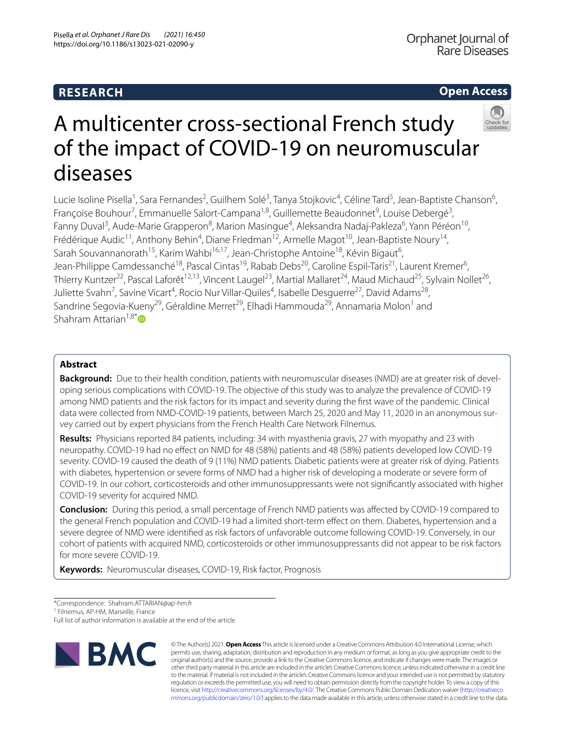## **RESEARCH**

## **Open Access**



# A multicenter cross-sectional French study of the impact of COVID-19 on neuromuscular diseases

Lucie Isoline Pisella<sup>1</sup>, Sara Fernandes<sup>2</sup>, Guilhem Solé<sup>3</sup>, Tanya Stojkovic<sup>4</sup>, Céline Tard<sup>5</sup>, Jean-Baptiste Chanson<sup>6</sup>, Françoise Bouhour<sup>7</sup>, Emmanuelle Salort-Campana<sup>1,8</sup>, Guillemette Beaudonnet<sup>9</sup>, Louise Debergé<sup>3</sup>, Fanny Duval<sup>3</sup>, Aude-Marie Grapperon<sup>8</sup>, Marion Masingue<sup>4</sup>, Aleksandra Nadaj-Pakleza<sup>6</sup>, Yann Péréon<sup>10</sup>, Frédérique Audic<sup>11</sup>, Anthony Behin<sup>4</sup>, Diane Friedman<sup>12</sup>, Armelle Magot<sup>10</sup>, Jean-Baptiste Noury<sup>14</sup>, Sarah Souvannanorath<sup>15</sup>, Karim Wahbi<sup>16,17</sup>, Jean-Christophe Antoine<sup>18</sup>, Kévin Bigaut<sup>6</sup>, Jean-Philippe Camdessanché<sup>18</sup>, Pascal Cintas<sup>19</sup>, Rabab Debs<sup>20</sup>, Caroline Espil-Taris<sup>21</sup>, Laurent Kremer<sup>6</sup>, Thierry Kuntzer<sup>22</sup>, Pascal Laforêt<sup>12,13</sup>, Vincent Laugel<sup>23</sup>, Martial Mallaret<sup>24</sup>, Maud Michaud<sup>25</sup>, Sylvain Nollet<sup>26</sup>, Juliette Svahn<sup>7</sup>, Savine Vicart<sup>4</sup>, Rocio Nur Villar-Quiles<sup>4</sup>, Isabelle Desguerre<sup>27</sup>, David Adams<sup>28</sup>, Sandrine Segovia-Kueny<sup>29</sup>, Géraldine Merret<sup>29</sup>, Elhadi Hammouda<sup>29</sup>, Annamaria Molon<sup>1</sup> and Shahram Attarian $1.8^*$  $1.8^*$ 

### **Abstract**

**Background:** Due to their health condition, patients with neuromuscular diseases (NMD) are at greater risk of developing serious complications with COVID-19. The objective of this study was to analyze the prevalence of COVID-19 among NMD patients and the risk factors for its impact and severity during the frst wave of the pandemic. Clinical data were collected from NMD-COVID-19 patients, between March 25, 2020 and May 11, 2020 in an anonymous survey carried out by expert physicians from the French Health Care Network Filnemus.

**Results:** Physicians reported 84 patients, including: 34 with myasthenia gravis, 27 with myopathy and 23 with neuropathy. COVID-19 had no efect on NMD for 48 (58%) patients and 48 (58%) patients developed low COVID-19 severity. COVID-19 caused the death of 9 (11%) NMD patients. Diabetic patients were at greater risk of dying. Patients with diabetes, hypertension or severe forms of NMD had a higher risk of developing a moderate or severe form of COVID-19. In our cohort, corticosteroids and other immunosuppressants were not signifcantly associated with higher COVID-19 severity for acquired NMD.

**Conclusion:** During this period, a small percentage of French NMD patients was afected by COVID-19 compared to the general French population and COVID-19 had a limited short-term efect on them. Diabetes, hypertension and a severe degree of NMD were identifed as risk factors of unfavorable outcome following COVID-19. Conversely, in our cohort of patients with acquired NMD, corticosteroids or other immunosuppressants did not appear to be risk factors for more severe COVID-19.

**Keywords:** Neuromuscular diseases, COVID-19, Risk factor, Prognosis

\*Correspondence: Shahram.ATTARIAN@ap-hm.fr

<sup>1</sup> Filnemus, AP-HM, Marseille, France

Full list of author information is available at the end of the article



© The Author(s) 2021. **Open Access** This article is licensed under a Creative Commons Attribution 4.0 International License, which permits use, sharing, adaptation, distribution and reproduction in any medium or format, as long as you give appropriate credit to the original author(s) and the source, provide a link to the Creative Commons licence, and indicate if changes were made. The images or other third party material in this article are included in the article's Creative Commons licence, unless indicated otherwise in a credit line to the material. If material is not included in the article's Creative Commons licence and your intended use is not permitted by statutory regulation or exceeds the permitted use, you will need to obtain permission directly from the copyright holder. To view a copy of this licence, visit [http://creativecommons.org/licenses/by/4.0/.](http://creativecommons.org/licenses/by/4.0/) The Creative Commons Public Domain Dedication waiver ([http://creativeco](http://creativecommons.org/publicdomain/zero/1.0/) [mmons.org/publicdomain/zero/1.0/](http://creativecommons.org/publicdomain/zero/1.0/)) applies to the data made available in this article, unless otherwise stated in a credit line to the data.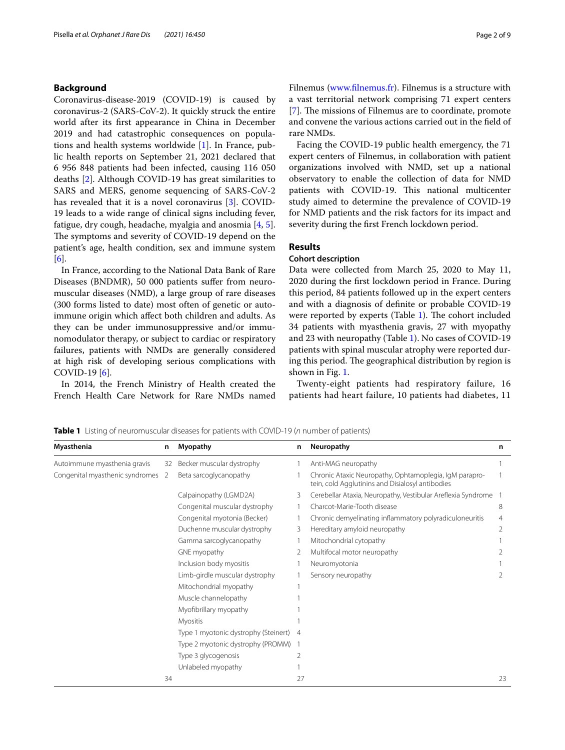#### **Background**

Coronavirus-disease-2019 (COVID-19) is caused by coronavirus-2 (SARS-CoV-2). It quickly struck the entire world after its frst appearance in China in December 2019 and had catastrophic consequences on populations and health systems worldwide [\[1](#page-8-0)]. In France, public health reports on September 21, 2021 declared that 6 956 848 patients had been infected, causing 116 050 deaths [[2\]](#page-8-1). Although COVID-19 has great similarities to SARS and MERS, genome sequencing of SARS-CoV-2 has revealed that it is a novel coronavirus [[3\]](#page-8-2). COVID-19 leads to a wide range of clinical signs including fever, fatigue, dry cough, headache, myalgia and anosmia [[4](#page-8-3), [5](#page-8-4)]. The symptoms and severity of COVID-19 depend on the patient's age, health condition, sex and immune system [[6\]](#page-8-5).

In France, according to the National Data Bank of Rare Diseases (BNDMR), 50 000 patients sufer from neuromuscular diseases (NMD), a large group of rare diseases (300 forms listed to date) most often of genetic or autoimmune origin which afect both children and adults. As they can be under immunosuppressive and/or immunomodulator therapy, or subject to cardiac or respiratory failures, patients with NMDs are generally considered at high risk of developing serious complications with COVID-19 [[6](#page-8-5)].

In 2014, the French Ministry of Health created the French Health Care Network for Rare NMDs named

Filnemus [\(www.flnemus.fr](http://www.filnemus.fr)). Filnemus is a structure with a vast territorial network comprising 71 expert centers [[7\]](#page-8-6). The missions of Filnemus are to coordinate, promote and convene the various actions carried out in the feld of rare NMDs.

Facing the COVID-19 public health emergency, the 71 expert centers of Filnemus, in collaboration with patient organizations involved with NMD, set up a national observatory to enable the collection of data for NMD patients with COVID-19. This national multicenter study aimed to determine the prevalence of COVID-19 for NMD patients and the risk factors for its impact and severity during the frst French lockdown period.

#### **Results**

#### **Cohort description**

Data were collected from March 25, 2020 to May 11, 2020 during the frst lockdown period in France. During this period, 84 patients followed up in the expert centers and with a diagnosis of defnite or probable COVID-19 were reported by experts (Table [1\)](#page-1-0). The cohort included 34 patients with myasthenia gravis, 27 with myopathy and 23 with neuropathy (Table [1\)](#page-1-0). No cases of COVID-19 patients with spinal muscular atrophy were reported during this period. The geographical distribution by region is shown in Fig. [1](#page-2-0).

Twenty-eight patients had respiratory failure, 16 patients had heart failure, 10 patients had diabetes, 11

**Myasthenia n Myopathy n Neuropathy n** Autoimmune myasthenia gravis 32 Becker muscular dystrophy 1 Anti-MAG neuropathy 1 Congenital myasthenic syndromes 2 Beta sarcoglycanopathy 1 Chronic Ataxic Neuropathy, Ophtamoplegia, IgM paraprotein, cold Agglutinins and Disialosyl antibodies 1 Calpainopathy (LGMD2A) 3 Cerebellar Ataxia, Neuropathy, Vestibular Arefexia Syndrome 1 Congenital muscular dystrophy 1 Charcot-Marie-Tooth disease 8 Congenital myotonia (Becker) 1 Chronic demyelinating inflammatory polyradiculoneuritis 4 Duchenne muscular dystrophy 3 Hereditary amyloid neuropathy 2 Gamma sarcoglycanopathy 1 Mitochondrial cytopathy 1 GNE myopathy **2** Multifocal motor neuropathy 2 Inclusion body myositis 1 Neuromyotonia 1 Limb-girdle muscular dystrophy 1 Sensory neuropathy 2 Mitochondrial myopathy 1 Muscle channelopathy 1 Myofbrillary myopathy 1 Myositis 1 Type 1 myotonic dystrophy (Steinert) 4 Type 2 myotonic dystrophy (PROMM) 1 Type 3 glycogenosis 2 Unlabeled myopathy 1  $34$  27 23

<span id="page-1-0"></span>**Table 1** Listing of neuromuscular diseases for patients with COVID-19 (*n* number of patients)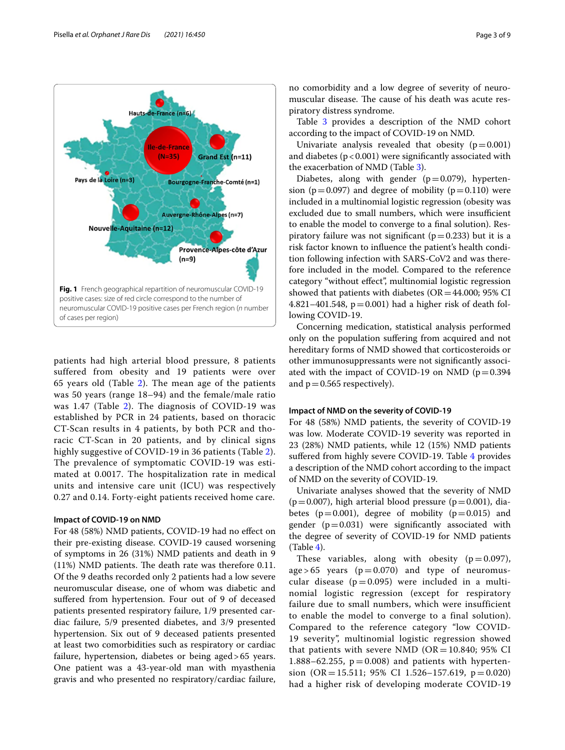

<span id="page-2-0"></span>patients had high arterial blood pressure, 8 patients suffered from obesity and 19 patients were over 65 years old (Table [2](#page-3-0)). The mean age of the patients was 50 years (range 18–94) and the female/male ratio was 1.47 (Table [2](#page-3-0)). The diagnosis of COVID-19 was established by PCR in 24 patients, based on thoracic CT-Scan results in 4 patients, by both PCR and thoracic CT-Scan in 20 patients, and by clinical signs highly suggestive of COVID-19 in 36 patients (Table [2\)](#page-3-0). The prevalence of symptomatic COVID-19 was estimated at 0.0017. The hospitalization rate in medical units and intensive care unit (ICU) was respectively 0.27 and 0.14. Forty-eight patients received home care.

#### **Impact of COVID‑19 on NMD**

For 48 (58%) NMD patients, COVID-19 had no efect on their pre-existing disease. COVID-19 caused worsening of symptoms in 26 (31%) NMD patients and death in 9  $(11%)$  NMD patients. The death rate was therefore 0.11. Of the 9 deaths recorded only 2 patients had a low severe neuromuscular disease, one of whom was diabetic and suffered from hypertension. Four out of 9 of deceased patients presented respiratory failure, 1/9 presented cardiac failure, 5/9 presented diabetes, and 3/9 presented hypertension. Six out of 9 deceased patients presented at least two comorbidities such as respiratory or cardiac failure, hypertension, diabetes or being aged>65 years. One patient was a 43-year-old man with myasthenia gravis and who presented no respiratory/cardiac failure, no comorbidity and a low degree of severity of neuromuscular disease. The cause of his death was acute respiratory distress syndrome.

Table [3](#page-4-0) provides a description of the NMD cohort according to the impact of COVID-19 on NMD.

Univariate analysis revealed that obesity  $(p=0.001)$ and diabetes  $(p < 0.001)$  were significantly associated with the exacerbation of NMD (Table [3\)](#page-4-0).

Diabetes, along with gender  $(p=0.079)$ , hypertension ( $p=0.097$ ) and degree of mobility ( $p=0.110$ ) were included in a multinomial logistic regression (obesity was excluded due to small numbers, which were insufficient to enable the model to converge to a fnal solution). Respiratory failure was not significant ( $p=0.233$ ) but it is a risk factor known to infuence the patient's health condition following infection with SARS-CoV2 and was therefore included in the model. Compared to the reference category "without efect", multinomial logistic regression showed that patients with diabetes ( $OR = 44.000$ ; 95% CI 4.821–401.548,  $p = 0.001$ ) had a higher risk of death following COVID-19.

Concerning medication, statistical analysis performed only on the population sufering from acquired and not hereditary forms of NMD showed that corticosteroids or other immunosuppressants were not signifcantly associated with the impact of COVID-19 on NMD ( $p=0.394$ ) and  $p = 0.565$  respectively).

#### **Impact of NMD on the severity of COVID‑19**

For 48 (58%) NMD patients, the severity of COVID-19 was low. Moderate COVID-19 severity was reported in 23 (28%) NMD patients, while 12 (15%) NMD patients sufered from highly severe COVID-19. Table [4](#page-5-0) provides a description of the NMD cohort according to the impact of NMD on the severity of COVID-19.

Univariate analyses showed that the severity of NMD  $(p=0.007)$ , high arterial blood pressure  $(p=0.001)$ , diabetes  $(p=0.001)$ , degree of mobility  $(p=0.015)$  and gender  $(p=0.031)$  were significantly associated with the degree of severity of COVID-19 for NMD patients (Table [4\)](#page-5-0).

These variables, along with obesity  $(p=0.097)$ ,  $age > 65$  years ( $p = 0.070$ ) and type of neuromuscular disease ( $p = 0.095$ ) were included in a multinomial logistic regression (except for respiratory failure due to small numbers, which were insufficient to enable the model to converge to a final solution). Compared to the reference category "low COVID-19 severity", multinomial logistic regression showed that patients with severe NMD ( $OR = 10.840$ ; 95% CI 1.888–62.255,  $p = 0.008$ ) and patients with hypertension (OR = 15.511; 95% CI 1.526-157.619,  $p = 0.020$ ) had a higher risk of developing moderate COVID-19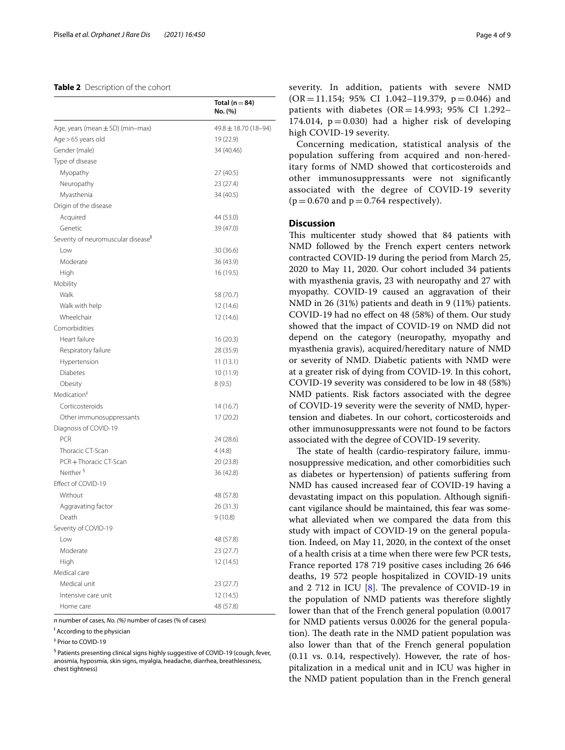#### <span id="page-3-0"></span>**Table 2** Description of the cohort

|                                                | Total ( $n = 84$ )<br>No. (%) |
|------------------------------------------------|-------------------------------|
| Age, years (mean $\pm$ SD) (min-max)           | 49.8 ± 18.70 (18-94)          |
| Age > 65 years old                             | 19 (22.9)                     |
| Gender (male)                                  | 34 (40.46)                    |
| Type of disease                                |                               |
| Myopathy                                       | 27 (40.5)                     |
| Neuropathy                                     | 23 (27.4)                     |
| Myasthenia                                     | 34 (40.5)                     |
| Origin of the disease                          |                               |
| Acquired                                       | 44 (53.0)                     |
| Genetic                                        | 39 (47.0)                     |
| Severity of neuromuscular disease <sup>F</sup> |                               |
| Low                                            | 30 (36.6)                     |
| Moderate                                       | 36 (43.9)                     |
| High                                           | 16 (19.5)                     |
| Mobility                                       |                               |
| Walk                                           | 58 (70.7)                     |
| Walk with help                                 | 12 (14.6)                     |
| Wheelchair                                     | 12 (14.6)                     |
| Comorbidities                                  |                               |
| Heart failure                                  | 16 (20.3)                     |
| Respiratory failure                            | 28 (35.9)                     |
| Hypertension                                   | 11(13.1)                      |
| Diabetes                                       | 10 (11.9)                     |
| Obesity                                        | 8(9.5)                        |
| Medication <sup>#</sup>                        |                               |
| Corticosteroids                                | 14 (16.7)                     |
| Other immunosuppressants                       | 17 (20.2)                     |
| Diagnosis of COVID-19                          |                               |
| <b>PCR</b>                                     | 24 (28.6)                     |
| Thoracic CT-Scan                               | 4 (4.8)                       |
| PCR+Thoracic CT-Scan                           | 20 (23.8)                     |
| Neither §                                      | 36 (42.8)                     |
| Effect of COVID-19                             |                               |
| Without                                        | 48 (57.8)                     |
| Aggravating factor                             | 26 (31.3)                     |
| Death                                          | 9(10.8)                       |
| Severity of COVID-19                           |                               |
| Low                                            | 48 (57.8)                     |
| Moderate                                       | 23 (27.7)                     |
| High                                           | 12 (14.5)                     |
| Medical care                                   |                               |
| Medical unit                                   | 23 (27.7)                     |
| Intensive care unit                            | 12 (14.5)                     |
| Home care                                      | 48 (57.8)                     |

*n* number of cases, *No. (%)* number of cases (% of cases)

<sup>‡</sup> According to the physician

‡ Prior to COVID-19

§ Patients presenting clinical signs highly suggestive of COVID-19 (cough, fever, anosmia, hyposmia, skin signs, myalgia, headache, diarrhea, breathlessness, chest tightness)

severity. In addition, patients with severe NMD  $(OR = 11.154; 95\% CI 1.042-119.379, p = 0.046)$  and patients with diabetes  $(OR = 14.993; 95\% \text{ CI } 1.292-$ 174.014,  $p = 0.030$ ) had a higher risk of developing high COVID-19 severity.

Concerning medication, statistical analysis of the population suffering from acquired and non-hereditary forms of NMD showed that corticosteroids and other immunosuppressants were not significantly associated with the degree of COVID-19 severity  $(p = 0.670$  and  $p = 0.764$  respectively).

#### **Discussion**

This multicenter study showed that 84 patients with NMD followed by the French expert centers network contracted COVID-19 during the period from March 25, 2020 to May 11, 2020. Our cohort included 34 patients with myasthenia gravis, 23 with neuropathy and 27 with myopathy. COVID-19 caused an aggravation of their NMD in 26 (31%) patients and death in 9 (11%) patients. COVID-19 had no efect on 48 (58%) of them. Our study showed that the impact of COVID-19 on NMD did not depend on the category (neuropathy, myopathy and myasthenia gravis), acquired/hereditary nature of NMD or severity of NMD. Diabetic patients with NMD were at a greater risk of dying from COVID-19. In this cohort, COVID-19 severity was considered to be low in 48 (58%) NMD patients. Risk factors associated with the degree of COVID-19 severity were the severity of NMD, hypertension and diabetes. In our cohort, corticosteroids and other immunosuppressants were not found to be factors associated with the degree of COVID-19 severity.

The state of health (cardio-respiratory failure, immunosuppressive medication, and other comorbidities such as diabetes or hypertension) of patients sufering from NMD has caused increased fear of COVID-19 having a devastating impact on this population. Although signifcant vigilance should be maintained, this fear was somewhat alleviated when we compared the data from this study with impact of COVID-19 on the general population. Indeed, on May 11, 2020, in the context of the onset of a health crisis at a time when there were few PCR tests, France reported 178 719 positive cases including 26 646 deaths, 19 572 people hospitalized in COVID-19 units and  $2$  712 in ICU  $[8]$  $[8]$ . The prevalence of COVID-19 in the population of NMD patients was therefore slightly lower than that of the French general population (0.0017 for NMD patients versus 0.0026 for the general population). The death rate in the NMD patient population was also lower than that of the French general population (0.11 vs. 0.14, respectively). However, the rate of hospitalization in a medical unit and in ICU was higher in the NMD patient population than in the French general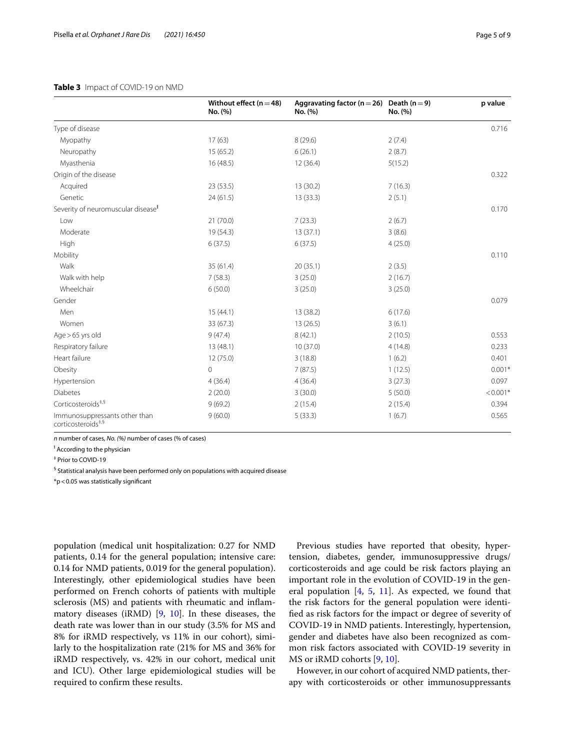#### <span id="page-4-0"></span>**Table 3** Impact of COVID-19 on NMD

|                                                                 | Without effect ( $n = 48$ )<br>No. (%) | Aggravating factor ( $n = 26$ ) Death ( $n = 9$ )<br>No. (%) | No. (%) | p value                |
|-----------------------------------------------------------------|----------------------------------------|--------------------------------------------------------------|---------|------------------------|
| Type of disease                                                 |                                        |                                                              |         | 0.716                  |
| Myopathy                                                        | 17(63)                                 | 8(29.6)                                                      | 2(7.4)  |                        |
| Neuropathy                                                      | 15(65.2)                               | 6(26.1)                                                      | 2(8.7)  |                        |
| Myasthenia                                                      | 16 (48.5)                              | 12(36.4)                                                     | 5(15.2) |                        |
| Origin of the disease                                           |                                        |                                                              |         | 0.322                  |
| Acquired                                                        | 23(53.5)                               | 13 (30.2)                                                    | 7(16.3) |                        |
| Genetic                                                         | 24(61.5)                               | 13(33.3)                                                     | 2(5.1)  |                        |
| Severity of neuromuscular disease <sup>t</sup>                  |                                        |                                                              |         | 0.170                  |
| Low                                                             | 21(70.0)                               | 7(23.3)                                                      | 2(6.7)  |                        |
| Moderate                                                        | 19 (54.3)                              | 13(37.1)                                                     | 3(8.6)  |                        |
| High                                                            | 6(37.5)                                | 6(37.5)                                                      | 4(25.0) |                        |
| Mobility                                                        |                                        |                                                              |         | 0.110                  |
| Walk                                                            | 35 (61.4)                              | 20(35.1)                                                     | 2(3.5)  |                        |
| Walk with help                                                  | 7(58.3)                                | 3(25.0)                                                      | 2(16.7) |                        |
| Wheelchair                                                      | 6(50.0)                                | 3(25.0)                                                      | 3(25.0) |                        |
| Gender                                                          |                                        |                                                              |         | 0.079                  |
| Men                                                             | 15(44.1)                               | 13 (38.2)                                                    | 6(17.6) |                        |
| Women                                                           | 33 (67.3)                              | 13(26.5)                                                     | 3(6.1)  |                        |
| Age > 65 yrs old                                                | 9(47.4)                                | 8(42.1)                                                      | 2(10.5) | 0.553                  |
| Respiratory failure                                             | 13(48.1)                               | 10(37.0)                                                     | 4(14.8) | 0.233                  |
| Heart failure                                                   | 12 (75.0)                              | 3(18.8)                                                      | 1(6.2)  | 0.401                  |
| Obesity                                                         | $\circ$                                | 7(87.5)                                                      | 1(12.5) | $0.001*$               |
| Hypertension                                                    | 4(36.4)                                | 4(36.4)                                                      | 3(27.3) | 0.097                  |
| Diabetes                                                        | 2(20.0)                                | 3(30.0)                                                      | 5(50.0) | $< 0.001$ <sup>*</sup> |
| Corticosteroids <sup>#,§</sup>                                  | 9(69.2)                                | 2(15.4)                                                      | 2(15.4) | 0.394                  |
| Immunosuppressants other than<br>corticosteroids <sup>#,§</sup> | 9(60.0)                                | 5(33.3)                                                      | 1(6.7)  | 0.565                  |

*n* number of cases, *No. (%)* number of cases (% of cases)

<sup>‡</sup> According to the physician

‡ Prior to COVID-19

<sup>§</sup> Statistical analysis have been performed only on populations with acquired disease

\*p<0.05 was statistically signifcant

population (medical unit hospitalization: 0.27 for NMD patients, 0.14 for the general population; intensive care: 0.14 for NMD patients, 0.019 for the general population). Interestingly, other epidemiological studies have been performed on French cohorts of patients with multiple sclerosis (MS) and patients with rheumatic and infammatory diseases (iRMD) [\[9](#page-8-8), [10\]](#page-8-9). In these diseases, the death rate was lower than in our study (3.5% for MS and 8% for iRMD respectively, vs 11% in our cohort), similarly to the hospitalization rate (21% for MS and 36% for iRMD respectively, vs. 42% in our cohort, medical unit and ICU). Other large epidemiological studies will be required to confrm these results.

Previous studies have reported that obesity, hypertension, diabetes, gender, immunosuppressive drugs/ corticosteroids and age could be risk factors playing an important role in the evolution of COVID-19 in the general population  $[4, 5, 11]$  $[4, 5, 11]$  $[4, 5, 11]$  $[4, 5, 11]$  $[4, 5, 11]$  $[4, 5, 11]$ . As expected, we found that the risk factors for the general population were identifed as risk factors for the impact or degree of severity of COVID-19 in NMD patients. Interestingly, hypertension, gender and diabetes have also been recognized as common risk factors associated with COVID-19 severity in MS or iRMD cohorts [[9](#page-8-8), [10\]](#page-8-9).

However, in our cohort of acquired NMD patients, therapy with corticosteroids or other immunosuppressants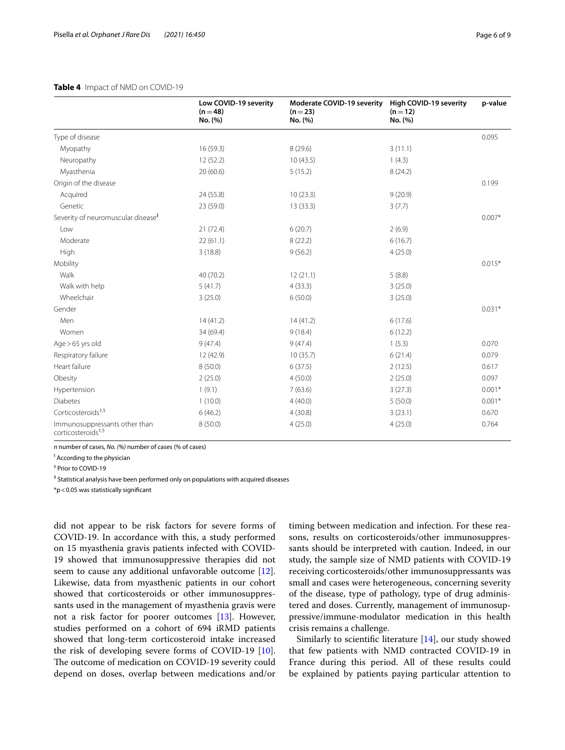#### <span id="page-5-0"></span>**Table 4** Impact of NMD on COVID-19

|                                                                 | Low COVID-19 severity<br>$(n=48)$<br>No. (%) | Moderate COVID-19 severity<br>$(n=23)$<br>No. (%) | High COVID-19 severity<br>$(n=12)$<br>No. (%) | p-value  |
|-----------------------------------------------------------------|----------------------------------------------|---------------------------------------------------|-----------------------------------------------|----------|
|                                                                 |                                              |                                                   |                                               |          |
| Type of disease                                                 |                                              |                                                   |                                               | 0.095    |
| Myopathy                                                        | 16(59.3)                                     | 8(29.6)                                           | 3(11.1)                                       |          |
| Neuropathy                                                      | 12(52.2)                                     | 10(43.5)                                          | 1(4.3)                                        |          |
| Myasthenia                                                      | 20(60.6)                                     | 5(15.2)                                           | 8(24.2)                                       |          |
| Origin of the disease                                           |                                              |                                                   |                                               | 0.199    |
| Acquired                                                        | 24 (55.8)                                    | 10(23.3)                                          | 9(20.9)                                       |          |
| Genetic                                                         | 23 (59.0)                                    | 13(33.3)                                          | 3(7.7)                                        |          |
| Severity of neuromuscular disease <sup>F</sup>                  |                                              |                                                   |                                               | $0.007*$ |
| Low                                                             | 21(72.4)                                     | 6(20.7)                                           | 2(6.9)                                        |          |
| Moderate                                                        | 22(61.1)                                     | 8(22.2)                                           | 6(16.7)                                       |          |
| High                                                            | 3(18.8)                                      | 9(56.2)                                           | 4(25.0)                                       |          |
| Mobility                                                        |                                              |                                                   |                                               | $0.015*$ |
| Walk                                                            | 40 (70.2)                                    | 12(21.1)                                          | 5(8.8)                                        |          |
| Walk with help                                                  | 5(41.7)                                      | 4(33.3)                                           | 3(25.0)                                       |          |
| Wheelchair                                                      | 3(25.0)                                      | 6(50.0)                                           | 3(25.0)                                       |          |
| Gender                                                          |                                              |                                                   |                                               | $0.031*$ |
| Men                                                             | 14(41.2)                                     | 14(41.2)                                          | 6(17.6)                                       |          |
| Women                                                           | 34 (69.4)                                    | 9(18.4)                                           | 6(12.2)                                       |          |
| Age > 65 yrs old                                                | 9(47.4)                                      | 9(47.4)                                           | 1(5.3)                                        | 0.070    |
| Respiratory failure                                             | 12 (42.9)                                    | 10(35.7)                                          | 6(21.4)                                       | 0.079    |
| Heart failure                                                   | 8(50.0)                                      | 6(37.5)                                           | 2(12.5)                                       | 0.617    |
| Obesity                                                         | 2(25.0)                                      | 4(50.0)                                           | 2(25.0)                                       | 0.097    |
| Hypertension                                                    | 1(9.1)                                       | 7(63.6)                                           | 3(27.3)                                       | $0.001*$ |
| <b>Diabetes</b>                                                 | 1(10.0)                                      | 4(40.0)                                           | 5(50.0)                                       | $0.001*$ |
| Corticosteroids <sup>#,§</sup>                                  | 6(46.2)                                      | 4(30.8)                                           | 3(23.1)                                       | 0.670    |
| Immunosuppressants other than<br>corticosteroids <sup>#,§</sup> | 8(50.0)                                      | 4(25.0)                                           | 4(25.0)                                       | 0.764    |

*n* number of cases, *No. (%)* number of cases (% of cases)

<sup>‡</sup> According to the physician

‡ Prior to COVID-19

<sup>§</sup> Statistical analysis have been performed only on populations with acquired diseases

\*p<0.05 was statistically signifcant

did not appear to be risk factors for severe forms of COVID-19. In accordance with this, a study performed on 15 myasthenia gravis patients infected with COVID-19 showed that immunosuppressive therapies did not seem to cause any additional unfavorable outcome [\[12](#page-8-11)]. Likewise, data from myasthenic patients in our cohort showed that corticosteroids or other immunosuppressants used in the management of myasthenia gravis were not a risk factor for poorer outcomes [[13\]](#page-8-12). However, studies performed on a cohort of 694 iRMD patients showed that long-term corticosteroid intake increased the risk of developing severe forms of COVID-19 [\[10](#page-8-9)]. The outcome of medication on COVID-19 severity could depend on doses, overlap between medications and/or

timing between medication and infection. For these reasons, results on corticosteroids/other immunosuppressants should be interpreted with caution. Indeed, in our study, the sample size of NMD patients with COVID-19 receiving corticosteroids/other immunosuppressants was small and cases were heterogeneous, concerning severity of the disease, type of pathology, type of drug administered and doses. Currently, management of immunosuppressive/immune-modulator medication in this health crisis remains a challenge.

Similarly to scientifc literature [[14\]](#page-8-13), our study showed that few patients with NMD contracted COVID-19 in France during this period. All of these results could be explained by patients paying particular attention to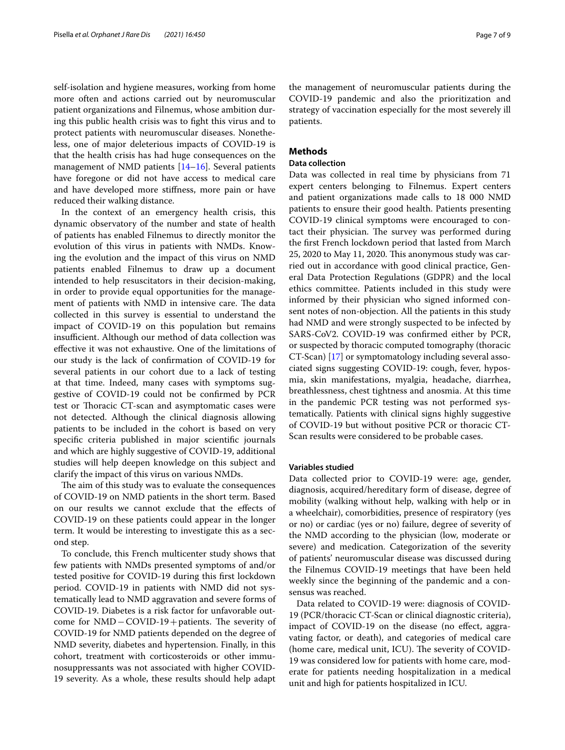self-isolation and hygiene measures, working from home more often and actions carried out by neuromuscular patient organizations and Filnemus, whose ambition during this public health crisis was to fght this virus and to protect patients with neuromuscular diseases. Nonetheless, one of major deleterious impacts of COVID-19 is that the health crisis has had huge consequences on the management of NMD patients [[14–](#page-8-13)[16](#page-8-14)]. Several patients have foregone or did not have access to medical care and have developed more stifness, more pain or have reduced their walking distance.

In the context of an emergency health crisis, this dynamic observatory of the number and state of health of patients has enabled Filnemus to directly monitor the evolution of this virus in patients with NMDs. Knowing the evolution and the impact of this virus on NMD patients enabled Filnemus to draw up a document intended to help resuscitators in their decision-making, in order to provide equal opportunities for the management of patients with NMD in intensive care. The data collected in this survey is essential to understand the impact of COVID-19 on this population but remains insufficient. Although our method of data collection was efective it was not exhaustive. One of the limitations of our study is the lack of confrmation of COVID-19 for several patients in our cohort due to a lack of testing at that time. Indeed, many cases with symptoms suggestive of COVID-19 could not be confrmed by PCR test or Thoracic CT-scan and asymptomatic cases were not detected. Although the clinical diagnosis allowing patients to be included in the cohort is based on very specifc criteria published in major scientifc journals and which are highly suggestive of COVID-19, additional studies will help deepen knowledge on this subject and clarify the impact of this virus on various NMDs.

The aim of this study was to evaluate the consequences of COVID-19 on NMD patients in the short term. Based on our results we cannot exclude that the efects of COVID-19 on these patients could appear in the longer term. It would be interesting to investigate this as a second step.

To conclude, this French multicenter study shows that few patients with NMDs presented symptoms of and/or tested positive for COVID-19 during this frst lockdown period. COVID-19 in patients with NMD did not systematically lead to NMD aggravation and severe forms of COVID-19. Diabetes is a risk factor for unfavorable outcome for NMD – COVID-19+patients. The severity of COVID-19 for NMD patients depended on the degree of NMD severity, diabetes and hypertension. Finally, in this cohort, treatment with corticosteroids or other immunosuppressants was not associated with higher COVID-19 severity. As a whole, these results should help adapt

the management of neuromuscular patients during the COVID-19 pandemic and also the prioritization and strategy of vaccination especially for the most severely ill patients.

#### **Methods**

#### **Data collection**

Data was collected in real time by physicians from 71 expert centers belonging to Filnemus. Expert centers and patient organizations made calls to 18 000 NMD patients to ensure their good health. Patients presenting COVID-19 clinical symptoms were encouraged to contact their physician. The survey was performed during the frst French lockdown period that lasted from March  $25, 2020$  to May 11, 2020. This anonymous study was carried out in accordance with good clinical practice, General Data Protection Regulations (GDPR) and the local ethics committee. Patients included in this study were informed by their physician who signed informed consent notes of non-objection. All the patients in this study had NMD and were strongly suspected to be infected by SARS-CoV2. COVID-19 was confrmed either by PCR, or suspected by thoracic computed tomography (thoracic CT-Scan) [\[17](#page-8-15)] or symptomatology including several associated signs suggesting COVID-19: cough, fever, hyposmia, skin manifestations, myalgia, headache, diarrhea, breathlessness, chest tightness and anosmia. At this time in the pandemic PCR testing was not performed systematically. Patients with clinical signs highly suggestive of COVID-19 but without positive PCR or thoracic CT-Scan results were considered to be probable cases.

#### **Variables studied**

Data collected prior to COVID-19 were: age, gender, diagnosis, acquired/hereditary form of disease, degree of mobility (walking without help, walking with help or in a wheelchair), comorbidities, presence of respiratory (yes or no) or cardiac (yes or no) failure, degree of severity of the NMD according to the physician (low, moderate or severe) and medication. Categorization of the severity of patients' neuromuscular disease was discussed during the Filnemus COVID-19 meetings that have been held weekly since the beginning of the pandemic and a consensus was reached.

Data related to COVID-19 were: diagnosis of COVID-19 (PCR/thoracic CT-Scan or clinical diagnostic criteria), impact of COVID-19 on the disease (no efect, aggravating factor, or death), and categories of medical care (home care, medical unit, ICU). The severity of COVID-19 was considered low for patients with home care, moderate for patients needing hospitalization in a medical unit and high for patients hospitalized in ICU.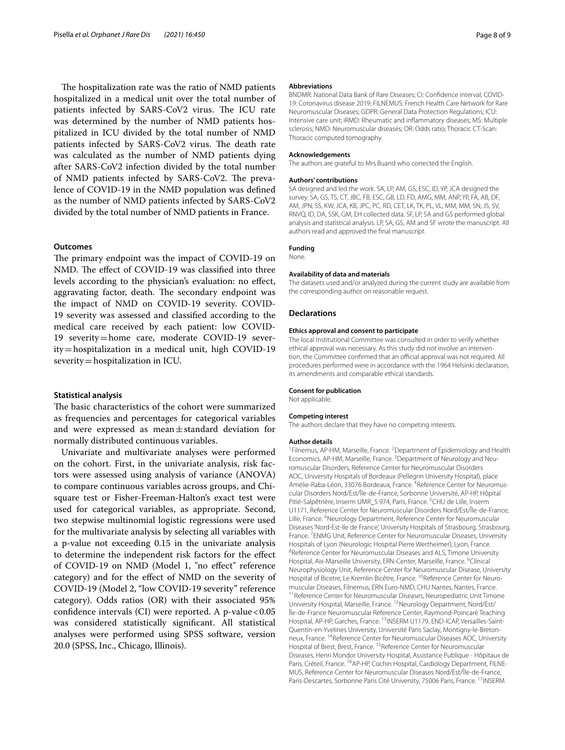The hospitalization rate was the ratio of NMD patients hospitalized in a medical unit over the total number of patients infected by SARS-CoV2 virus. The ICU rate was determined by the number of NMD patients hospitalized in ICU divided by the total number of NMD patients infected by SARS-CoV2 virus. The death rate was calculated as the number of NMD patients dying after SARS-CoV2 infection divided by the total number of NMD patients infected by SARS-CoV2. The prevalence of COVID-19 in the NMD population was defned as the number of NMD patients infected by SARS-CoV2 divided by the total number of NMD patients in France.

#### **Outcomes**

The primary endpoint was the impact of COVID-19 on NMD. The effect of COVID-19 was classified into three levels according to the physician's evaluation: no efect, aggravating factor, death. The secondary endpoint was the impact of NMD on COVID-19 severity. COVID-19 severity was assessed and classifed according to the medical care received by each patient: low COVID-19 severity=home care, moderate COVID-19 severity=hospitalization in a medical unit, high COVID-19 severity=hospitalization in ICU.

#### **Statistical analysis**

The basic characteristics of the cohort were summarized as frequencies and percentages for categorical variables and were expressed as mean±standard deviation for normally distributed continuous variables.

Univariate and multivariate analyses were performed on the cohort. First, in the univariate analysis, risk factors were assessed using analysis of variance (ANOVA) to compare continuous variables across groups, and Chisquare test or Fisher-Freeman-Halton's exact test were used for categorical variables, as appropriate. Second, two stepwise multinomial logistic regressions were used for the multivariate analysis by selecting all variables with a p-value not exceeding 0.15 in the univariate analysis to determine the independent risk factors for the efect of COVID-19 on NMD (Model 1, "no efect" reference category) and for the efect of NMD on the severity of COVID-19 (Model 2, "low COVID-19 severity" reference category). Odds ratios (OR) with their associated 95% confidence intervals (CI) were reported. A p-value < 0.05 was considered statistically signifcant. All statistical analyses were performed using SPSS software, version 20.0 (SPSS, Inc., Chicago, Illinois).

#### **Abbreviations**

BNDMR: National Data Bank of Rare Diseases; CI: Confdence interval; COVID-19: Coronavirus disease 2019; FILNEMUS: French Health Care Network for Rare Neuromuscular Diseases; GDPR: General Data Protection Regulations; ICU: Intensive care unit; iRMD: Rheumatic and infammatory diseases; MS: Multiple sclerosis; NMD: Neuromuscular diseases; OR: Odds ratio; Thoracic CT-Scan: Thoracic computed tomography.

#### **Acknowledgements**

The authors are grateful to Mrs Buand who corrected the English.

#### **Authors' contributions**

SA designed and led the work. SA, LP, AM, GS, ESC, ID, YP, JCA designed the survey. SA, GS, TS, CT, JBC, FB, ESC, GB, LD, FD, AMG, MM, ANP, YP, FA, AB, DF, AM, JPN, SS, KW, JCA, KB, JPC, PC, RD, CET, LK, TK, PL, VL, MM, MM, SN, JS, SV, RNVQ, ID, DA, SSK, GM, EH collected data. SF, LP, SA and GS performed global analysis and statistical analysis. LP, SA, GS, AM and SF wrote the manuscript. All authors read and approved the fnal manuscript.

#### **Funding**

None.

#### **Availability of data and materials**

The datasets used and/or analyzed during the current study are available from the corresponding author on reasonable request.

#### **Declarations**

#### **Ethics approval and consent to participate**

The local Institutional Committee was consulted in order to verify whether ethical approval was necessary. As this study did not involve an intervention, the Committee confirmed that an official approval was not required. All procedures performed were in accordance with the 1964 Helsinki declaration, its amendments and comparable ethical standards.

#### **Consent for publication**

Not applicable.

#### **Competing interest**

The authors declare that they have no competing interests.

#### **Author details**

<sup>1</sup> Filnemus, AP-HM, Marseille, France. <sup>2</sup> Department of Epidemiology and Health Economics, AP-HM, Marseille, France. <sup>3</sup> Department of Neurology and Neuromuscular Disorders, Reference Center for Neuromuscular Disorders AOC, University Hospitals of Bordeaux (Pellegrin University Hospital), place Amélie-Raba-Léon, 33076 Bordeaux, France. <sup>4</sup>Reference Center for Neuromuscular Disorders Nord/Est/Île‑de‑France, Sorbonne Université, AP-HP, Hôpital Pitié-Salpêtrière, Inserm UMR\_S 974, Paris, France. <sup>5</sup>CHU de Lille, Inserm U1171, Reference Center for Neuromuscular Disorders Nord/Est/Île-de-France, Lille, France. <sup>6</sup>Neurology Department, Reference Center for Neuromuscular Diseases 'Nord‑Est‑Ile de France', University Hospitals of Strasbourg, Strasbourg, France.<sup>7</sup> ENMG Unit, Reference Center for Neuromuscular Diseases, University Hospitals of Lyon (Neurologic Hospital Pierre Wertheimer), Lyon, France. 8 <sup>8</sup> Reference Center for Neuromuscular Diseases and ALS. Timone University Hospital, Aix-Marseille University, ERN-Center, Marseille, France. <sup>9</sup>Clinical Neurophysiology Unit, Reference Center for Neuromuscular Disease, University Hospital of Bicetre, Le Kremlin Bicêtre, France. <sup>10</sup>Reference Center for Neuromuscular Diseases, Filnemus, ERN Euro-NMD, CHU Nantes, Nantes, France.<br><sup>11</sup>Reference Center for Neuromuscular Diseases. Neuropediatric Unit Timone University Hospital, Marseille, France. <sup>12</sup>Neurology Department, Nord/Est/ Île‑de‑France Neuromuscular Reference Center, Raymond-Poincaré Teaching Hospital, AP-HP, Garches, France. <sup>13</sup>INSERM U1179, END-ICAP, Versailles-Saint-Quentin-en-Yvelines University, Université Paris Saclay, Montigny-le-Bretonneux, France. 14Reference Center for Neuromuscular Diseases AOC, University Hospital of Brest, Brest, France. <sup>15</sup> Reference Center for Neuromuscular Diseases, Henri Mondor University Hospital, Assistance Publique - Hôpitaux de Paris, Créteil, France. <sup>16</sup>AP-HP, Cochin Hospital, Cardiology Department, FILNE-MUS, Reference Center for Neuromuscular Diseases Nord/Est/Île‑de‑France, Paris-Descartes, Sorbonne Paris Cité University, 75006 Paris, France. <sup>17</sup>INSERM